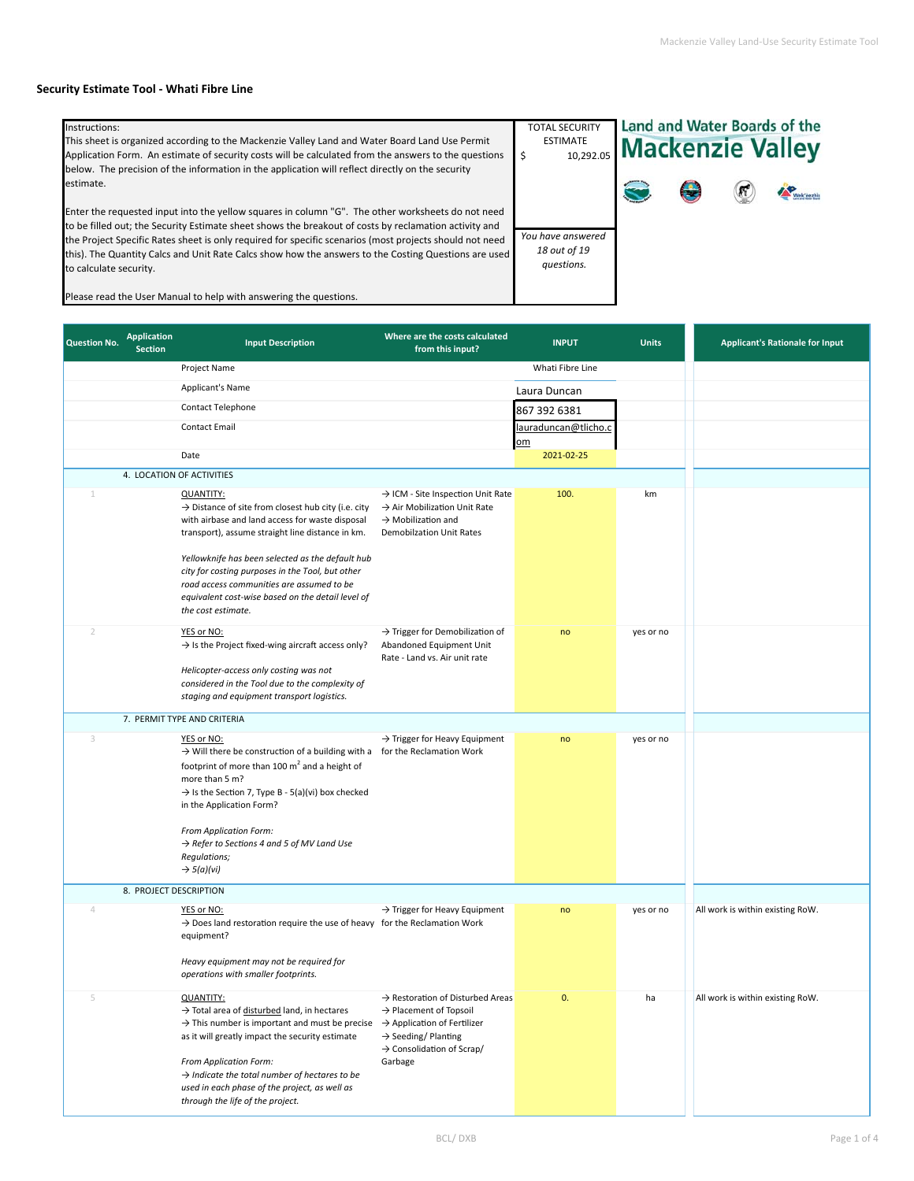## **Security Estimate Tool ‐ Whati Fibre Line**

| Instructions:<br>This sheet is organized according to the Mackenzie Valley Land and Water Board Land Use Permit<br>Application Form. An estimate of security costs will be calculated from the answers to the questions                                                                                                                                                                                                                                 | <b>TOTAL SECURITY</b><br><b>ESTIMATE</b>        | Land and Water Boards of the<br><b>MATE</b> 10,292.05 <b>Mackenzie Valley</b> |  |  |           |
|---------------------------------------------------------------------------------------------------------------------------------------------------------------------------------------------------------------------------------------------------------------------------------------------------------------------------------------------------------------------------------------------------------------------------------------------------------|-------------------------------------------------|-------------------------------------------------------------------------------|--|--|-----------|
| below. The precision of the information in the application will reflect directly on the security<br>estimate.                                                                                                                                                                                                                                                                                                                                           |                                                 |                                                                               |  |  | Wek'eezh. |
| Enter the requested input into the yellow squares in column "G". The other worksheets do not need<br>to be filled out; the Security Estimate sheet shows the breakout of costs by reclamation activity and<br>the Project Specific Rates sheet is only required for specific scenarios (most projects should not need<br>this). The Quantity Calcs and Unit Rate Calcs show how the answers to the Costing Questions are used<br>to calculate security. | You have answered<br>18 out of 19<br>questions. |                                                                               |  |  |           |

Please read the User Manual to help with answering the questions.

| <b>Question No.</b> | <b>Application</b><br><b>Section</b> | <b>Input Description</b>                                                                                                                                                                                                                                                                                                                                                                             | Where are the costs calculated<br>from this input?                                                                                                           | <b>INPUT</b>               | <b>Units</b> | <b>Applicant's Rationale for Input</b> |
|---------------------|--------------------------------------|------------------------------------------------------------------------------------------------------------------------------------------------------------------------------------------------------------------------------------------------------------------------------------------------------------------------------------------------------------------------------------------------------|--------------------------------------------------------------------------------------------------------------------------------------------------------------|----------------------------|--------------|----------------------------------------|
|                     |                                      | Project Name                                                                                                                                                                                                                                                                                                                                                                                         |                                                                                                                                                              | Whati Fibre Line           |              |                                        |
|                     |                                      | Applicant's Name                                                                                                                                                                                                                                                                                                                                                                                     |                                                                                                                                                              | Laura Duncan               |              |                                        |
|                     |                                      | <b>Contact Telephone</b>                                                                                                                                                                                                                                                                                                                                                                             |                                                                                                                                                              | 867 392 6381               |              |                                        |
|                     |                                      | <b>Contact Email</b>                                                                                                                                                                                                                                                                                                                                                                                 |                                                                                                                                                              | lauraduncan@tlicho.c<br>om |              |                                        |
|                     |                                      | Date                                                                                                                                                                                                                                                                                                                                                                                                 |                                                                                                                                                              | 2021-02-25                 |              |                                        |
|                     |                                      | 4. LOCATION OF ACTIVITIES                                                                                                                                                                                                                                                                                                                                                                            |                                                                                                                                                              |                            |              |                                        |
| 1                   |                                      | <b>QUANTITY:</b><br>$\rightarrow$ Distance of site from closest hub city (i.e. city<br>with airbase and land access for waste disposal<br>transport), assume straight line distance in km.<br>Yellowknife has been selected as the default hub<br>city for costing purposes in the Tool, but other<br>road access communities are assumed to be<br>equivalent cost-wise based on the detail level of | → ICM - Site Inspection Unit Rate<br>$\rightarrow$ Air Mobilization Unit Rate<br>$\rightarrow$ Mobilization and<br><b>Demobilzation Unit Rates</b>           | 100.                       | km           |                                        |
|                     |                                      | the cost estimate.                                                                                                                                                                                                                                                                                                                                                                                   |                                                                                                                                                              |                            |              |                                        |
| $\overline{2}$      |                                      | YES or NO:<br>$\rightarrow$ Is the Project fixed-wing aircraft access only?<br>Helicopter-access only costing was not<br>considered in the Tool due to the complexity of                                                                                                                                                                                                                             | $\rightarrow$ Trigger for Demobilization of<br>Abandoned Equipment Unit<br>Rate - Land vs. Air unit rate                                                     | no                         | yes or no    |                                        |
|                     |                                      | staging and equipment transport logistics.                                                                                                                                                                                                                                                                                                                                                           |                                                                                                                                                              |                            |              |                                        |
|                     |                                      | 7. PERMIT TYPE AND CRITERIA                                                                                                                                                                                                                                                                                                                                                                          |                                                                                                                                                              |                            |              |                                        |
| 3                   |                                      | YES or NO:<br>$\rightarrow$ Will there be construction of a building with a for the Reclamation Work<br>footprint of more than 100 $m2$ and a height of<br>more than 5 m?<br>$\rightarrow$ Is the Section 7, Type B - 5(a)(vi) box checked<br>in the Application Form?                                                                                                                               | $\rightarrow$ Trigger for Heavy Equipment                                                                                                                    | no                         | yes or no    |                                        |
|                     |                                      | From Application Form:<br>$\rightarrow$ Refer to Sections 4 and 5 of MV Land Use<br>Regulations;<br>$\rightarrow$ 5(a)(vi)                                                                                                                                                                                                                                                                           |                                                                                                                                                              |                            |              |                                        |
|                     | 8. PROJECT DESCRIPTION               |                                                                                                                                                                                                                                                                                                                                                                                                      |                                                                                                                                                              |                            |              |                                        |
| 4                   |                                      | YES or NO:<br>$\rightarrow$ Does land restoration require the use of heavy for the Reclamation Work<br>equipment?<br>Heavy equipment may not be required for                                                                                                                                                                                                                                         | $\rightarrow$ Trigger for Heavy Equipment                                                                                                                    | no                         | yes or no    | All work is within existing RoW.       |
|                     |                                      | operations with smaller footprints.                                                                                                                                                                                                                                                                                                                                                                  |                                                                                                                                                              |                            |              |                                        |
|                     |                                      | <b>QUANTITY:</b><br>$\rightarrow$ Total area of disturbed land, in hectares<br>$\rightarrow$ This number is important and must be precise $\rightarrow$ Application of Fertilizer<br>as it will greatly impact the security estimate<br>From Application Form:<br>$\rightarrow$ Indicate the total number of hectares to be<br>used in each phase of the project, as well as                         | > Restoration of Disturbed Areas<br>$\rightarrow$ Placement of Topsoil<br>$\rightarrow$ Seeding/Planting<br>$\rightarrow$ Consolidation of Scrap/<br>Garbage | U.                         |              | All work is within existing RoW.       |
|                     |                                      | through the life of the project.                                                                                                                                                                                                                                                                                                                                                                     |                                                                                                                                                              |                            |              |                                        |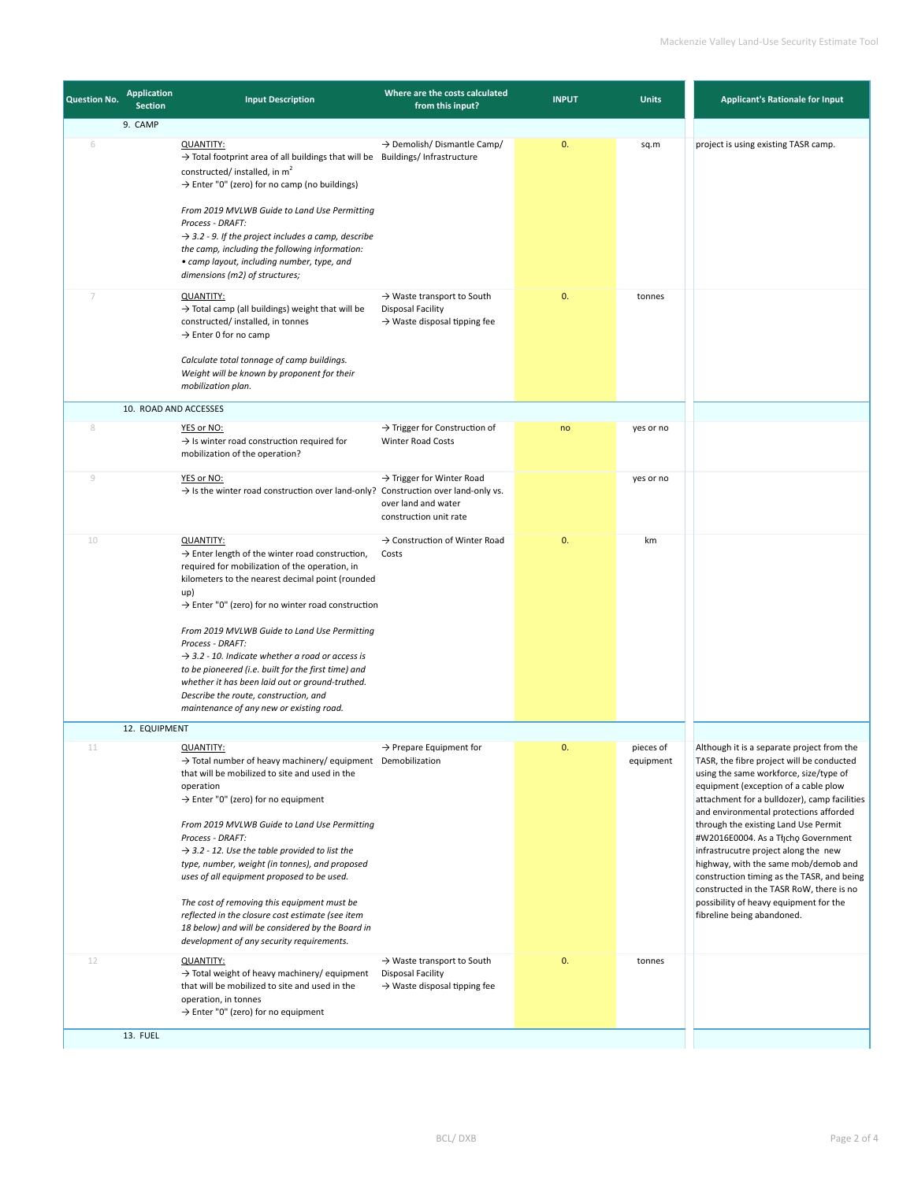| <b>Question No.</b> | <b>Application</b><br><b>Section</b> | <b>Input Description</b>                                                                                                                                                                                                                                                                                                                                                                                                                                                                                                                                                                                                                            | Where are the costs calculated<br>from this input?                                                             | <b>INPUT</b> | <b>Units</b>           | <b>Applicant's Rationale for Input</b>                                                                                                                                                                                                                                                                                                                                                                                                                                                                                                                                                               |
|---------------------|--------------------------------------|-----------------------------------------------------------------------------------------------------------------------------------------------------------------------------------------------------------------------------------------------------------------------------------------------------------------------------------------------------------------------------------------------------------------------------------------------------------------------------------------------------------------------------------------------------------------------------------------------------------------------------------------------------|----------------------------------------------------------------------------------------------------------------|--------------|------------------------|------------------------------------------------------------------------------------------------------------------------------------------------------------------------------------------------------------------------------------------------------------------------------------------------------------------------------------------------------------------------------------------------------------------------------------------------------------------------------------------------------------------------------------------------------------------------------------------------------|
| 6                   | 9. CAMP                              | <b>QUANTITY:</b><br>$\rightarrow$ Total footprint area of all buildings that will be Buildings/Infrastructure<br>constructed/installed, in m <sup>2</sup><br>$\rightarrow$ Enter "0" (zero) for no camp (no buildings)<br>From 2019 MVLWB Guide to Land Use Permitting<br>Process - DRAFT:<br>$\rightarrow$ 3.2 - 9. If the project includes a camp, describe<br>the camp, including the following information:<br>• camp layout, including number, type, and                                                                                                                                                                                       | $\rightarrow$ Demolish/ Dismantle Camp/                                                                        | 0.           | sq.m                   | project is using existing TASR camp.                                                                                                                                                                                                                                                                                                                                                                                                                                                                                                                                                                 |
| 7                   |                                      | dimensions (m2) of structures;<br><b>QUANTITY:</b><br>$\rightarrow$ Total camp (all buildings) weight that will be<br>constructed/ installed, in tonnes<br>$\rightarrow$ Enter 0 for no camp<br>Calculate total tonnage of camp buildings.<br>Weight will be known by proponent for their<br>mobilization plan.                                                                                                                                                                                                                                                                                                                                     | $\rightarrow$ Waste transport to South<br><b>Disposal Facility</b><br>$\rightarrow$ Waste disposal tipping fee | 0.           | tonnes                 |                                                                                                                                                                                                                                                                                                                                                                                                                                                                                                                                                                                                      |
|                     | 10. ROAD AND ACCESSES                |                                                                                                                                                                                                                                                                                                                                                                                                                                                                                                                                                                                                                                                     |                                                                                                                |              |                        |                                                                                                                                                                                                                                                                                                                                                                                                                                                                                                                                                                                                      |
| 8                   |                                      | YES or NO:<br>$\rightarrow$ Is winter road construction required for<br>mobilization of the operation?                                                                                                                                                                                                                                                                                                                                                                                                                                                                                                                                              | $\rightarrow$ Trigger for Construction of<br>Winter Road Costs                                                 | no           | yes or no              |                                                                                                                                                                                                                                                                                                                                                                                                                                                                                                                                                                                                      |
| 9                   |                                      | YES or NO:<br>$\rightarrow$ Is the winter road construction over land-only? Construction over land-only vs.                                                                                                                                                                                                                                                                                                                                                                                                                                                                                                                                         | $\rightarrow$ Trigger for Winter Road<br>over land and water<br>construction unit rate                         |              | yes or no              |                                                                                                                                                                                                                                                                                                                                                                                                                                                                                                                                                                                                      |
| 10                  |                                      | <b>QUANTITY:</b><br>$\rightarrow$ Enter length of the winter road construction,<br>required for mobilization of the operation, in<br>kilometers to the nearest decimal point (rounded<br>up)<br>$\rightarrow$ Enter "0" (zero) for no winter road construction<br>From 2019 MVLWB Guide to Land Use Permitting<br>Process - DRAFT:<br>$\rightarrow$ 3.2 - 10. Indicate whether a road or access is<br>to be pioneered (i.e. built for the first time) and<br>whether it has been laid out or ground-truthed.<br>Describe the route, construction, and<br>maintenance of any new or existing road.                                                   | $\rightarrow$ Construction of Winter Road<br>Costs                                                             | 0.           | km                     |                                                                                                                                                                                                                                                                                                                                                                                                                                                                                                                                                                                                      |
|                     | 12. EQUIPMENT                        |                                                                                                                                                                                                                                                                                                                                                                                                                                                                                                                                                                                                                                                     |                                                                                                                |              |                        |                                                                                                                                                                                                                                                                                                                                                                                                                                                                                                                                                                                                      |
| TТ                  |                                      | <b>QUANTITY:</b><br>$\rightarrow$ Total number of heavy machinery/ equipment Demobilization<br>that will be mobilized to site and used in the<br>operation<br>$\rightarrow$ Enter "0" (zero) for no equipment<br>From 2019 MVLWB Guide to Land Use Permitting<br>Process - DRAFT:<br>$\rightarrow$ 3.2 - 12. Use the table provided to list the<br>type, number, weight (in tonnes), and proposed<br>uses of all equipment proposed to be used.<br>The cost of removing this equipment must be<br>reflected in the closure cost estimate (see item<br>18 below) and will be considered by the Board in<br>development of any security requirements. | $\rightarrow$ Prepare Equipment for                                                                            |              | pieces of<br>equipment | Although it is a separate project from the<br>TASR, the fibre project will be conducted<br>using the same workforce, size/type of<br>equipment (exception of a cable plow<br>attachment for a bulldozer), camp facilities<br>and environmental protections afforded<br>through the existing Land Use Permit<br>#W2016E0004. As a Tłįchę Government<br>infrastrucutre project along the new<br>highway, with the same mob/demob and<br>construction timing as the TASR, and being<br>constructed in the TASR RoW, there is no<br>possibility of heavy equipment for the<br>fibreline being abandoned. |
| 12                  |                                      | <b>QUANTITY:</b><br>$\rightarrow$ Total weight of heavy machinery/ equipment<br>that will be mobilized to site and used in the<br>operation, in tonnes<br>$\rightarrow$ Enter "0" (zero) for no equipment                                                                                                                                                                                                                                                                                                                                                                                                                                           | $\rightarrow$ Waste transport to South<br><b>Disposal Facility</b><br>$\rightarrow$ Waste disposal tipping fee | 0.           | tonnes                 |                                                                                                                                                                                                                                                                                                                                                                                                                                                                                                                                                                                                      |
|                     | 13. FUEL                             |                                                                                                                                                                                                                                                                                                                                                                                                                                                                                                                                                                                                                                                     |                                                                                                                |              |                        |                                                                                                                                                                                                                                                                                                                                                                                                                                                                                                                                                                                                      |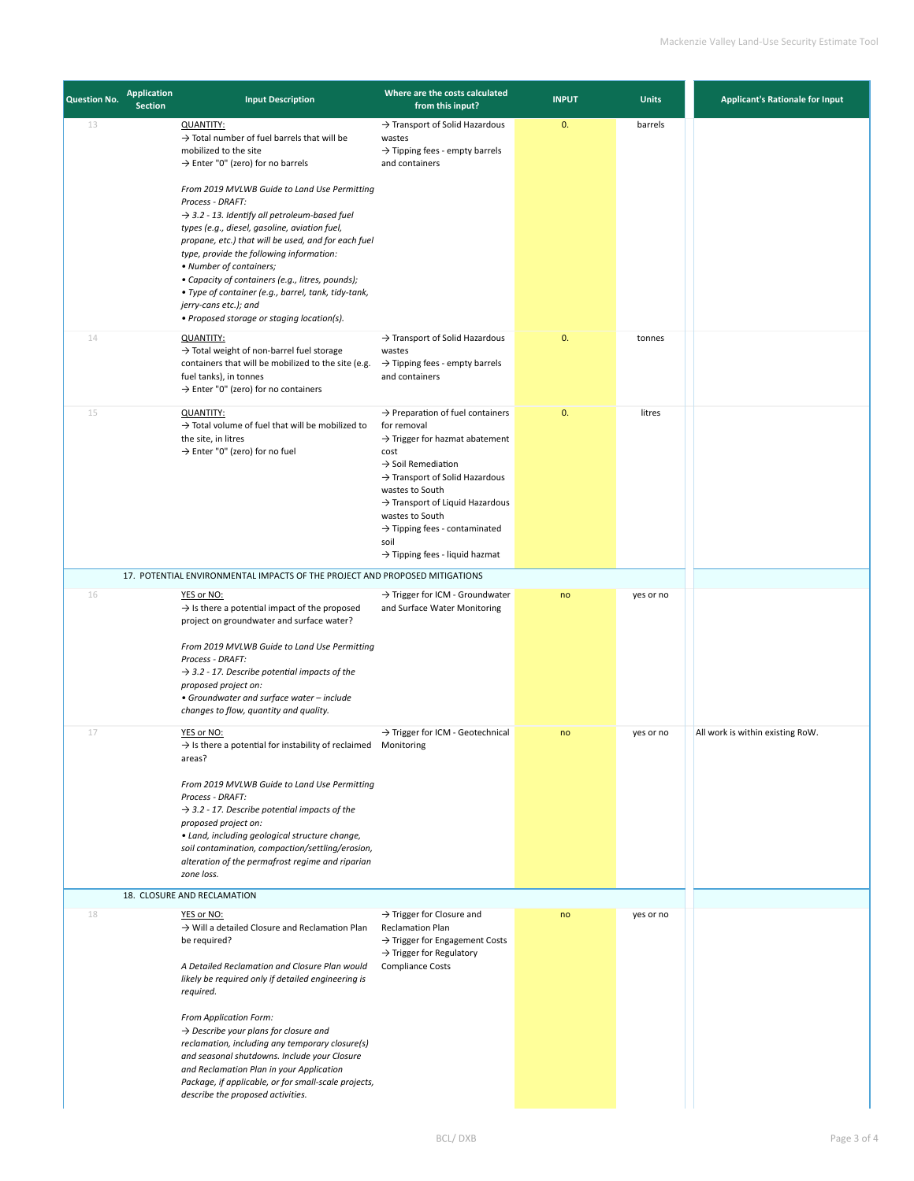| <b>Question No.</b> | <b>Application</b><br><b>Section</b> | <b>Input Description</b>                                                                                                                                                                                                                                                                                                                                                                                                                                                                                                                                                                                                                                | Where are the costs calculated<br>from this input?                                                                                                                                                                                                                                                                                                                                        | <b>INPUT</b> | <b>Units</b> | <b>Applicant's Rationale for Input</b> |
|---------------------|--------------------------------------|---------------------------------------------------------------------------------------------------------------------------------------------------------------------------------------------------------------------------------------------------------------------------------------------------------------------------------------------------------------------------------------------------------------------------------------------------------------------------------------------------------------------------------------------------------------------------------------------------------------------------------------------------------|-------------------------------------------------------------------------------------------------------------------------------------------------------------------------------------------------------------------------------------------------------------------------------------------------------------------------------------------------------------------------------------------|--------------|--------------|----------------------------------------|
| 13                  |                                      | <b>QUANTITY:</b><br>$\rightarrow$ Total number of fuel barrels that will be<br>mobilized to the site<br>$\rightarrow$ Enter "0" (zero) for no barrels<br>From 2019 MVLWB Guide to Land Use Permitting<br>Process - DRAFT:<br>$\rightarrow$ 3.2 - 13. Identify all petroleum-based fuel<br>types (e.g., diesel, gasoline, aviation fuel,<br>propane, etc.) that will be used, and for each fuel<br>type, provide the following information:<br>• Number of containers;<br>• Capacity of containers (e.g., litres, pounds);<br>· Type of container (e.g., barrel, tank, tidy-tank,<br>jerry-cans etc.); and<br>• Proposed storage or staging location(s). | $\rightarrow$ Transport of Solid Hazardous<br>wastes<br>$\rightarrow$ Tipping fees - empty barrels<br>and containers                                                                                                                                                                                                                                                                      | 0.           | barrels      |                                        |
| 14                  |                                      | <b>QUANTITY:</b><br>$\rightarrow$ Total weight of non-barrel fuel storage<br>containers that will be mobilized to the site (e.g.<br>fuel tanks), in tonnes<br>$\rightarrow$ Enter "0" (zero) for no containers                                                                                                                                                                                                                                                                                                                                                                                                                                          | $\rightarrow$ Transport of Solid Hazardous<br>wastes<br>$\rightarrow$ Tipping fees - empty barrels<br>and containers                                                                                                                                                                                                                                                                      | 0.           | tonnes       |                                        |
| 15                  |                                      | <b>QUANTITY:</b><br>$\rightarrow$ Total volume of fuel that will be mobilized to<br>the site, in litres<br>$\rightarrow$ Enter "0" (zero) for no fuel                                                                                                                                                                                                                                                                                                                                                                                                                                                                                                   | $\rightarrow$ Preparation of fuel containers<br>for removal<br>$\rightarrow$ Trigger for hazmat abatement<br>cost<br>$\rightarrow$ Soil Remediation<br>$\rightarrow$ Transport of Solid Hazardous<br>wastes to South<br>$\rightarrow$ Transport of Liquid Hazardous<br>wastes to South<br>$\rightarrow$ Tipping fees - contaminated<br>soil<br>$\rightarrow$ Tipping fees - liquid hazmat | 0.           | litres       |                                        |
|                     |                                      | 17. POTENTIAL ENVIRONMENTAL IMPACTS OF THE PROJECT AND PROPOSED MITIGATIONS                                                                                                                                                                                                                                                                                                                                                                                                                                                                                                                                                                             |                                                                                                                                                                                                                                                                                                                                                                                           |              |              |                                        |
| 16                  |                                      | YES or NO:<br>$\rightarrow$ Is there a potential impact of the proposed<br>project on groundwater and surface water?<br>From 2019 MVLWB Guide to Land Use Permitting<br>Process - DRAFT:<br>$\rightarrow$ 3.2 - 17. Describe potential impacts of the<br>proposed project on:<br>• Groundwater and surface water - include<br>changes to flow, quantity and quality.                                                                                                                                                                                                                                                                                    | → Trigger for ICM - Groundwater<br>and Surface Water Monitoring                                                                                                                                                                                                                                                                                                                           | no           | yes or no    |                                        |
| 17                  |                                      | YES or NO:<br>$\rightarrow$ Is there a potential for instability of reclaimed<br>areas?<br>From 2019 MVLWB Guide to Land Use Permitting<br>Process - DRAFT:<br>$\rightarrow$ 3.2 - 17. Describe potential impacts of the<br>proposed project on:<br>• Land, including geological structure change,<br>soil contamination, compaction/settling/erosion,<br>alteration of the permafrost regime and riparian<br>zone loss.                                                                                                                                                                                                                                | > Trigger for ICM - Geotechnical<br>Monitoring                                                                                                                                                                                                                                                                                                                                            | no           | yes or no    | All work is within existing RoW.       |
|                     |                                      | 18. CLOSURE AND RECLAMATION                                                                                                                                                                                                                                                                                                                                                                                                                                                                                                                                                                                                                             |                                                                                                                                                                                                                                                                                                                                                                                           |              |              |                                        |
| 18                  |                                      | YES or NO:<br>$\rightarrow$ Will a detailed Closure and Reclamation Plan<br>be required?<br>A Detailed Reclamation and Closure Plan would<br>likely be required only if detailed engineering is<br>required.<br>From Application Form:<br>$\rightarrow$ Describe your plans for closure and<br>reclamation, including any temporary closure(s)<br>and seasonal shutdowns. Include your Closure<br>and Reclamation Plan in your Application<br>Package, if applicable, or for small-scale projects,<br>describe the proposed activities.                                                                                                                 | $\rightarrow$ Trigger for Closure and<br><b>Reclamation Plan</b><br>$\rightarrow$ Trigger for Engagement Costs<br>$\rightarrow$ Trigger for Regulatory<br><b>Compliance Costs</b>                                                                                                                                                                                                         | no           | yes or no    |                                        |